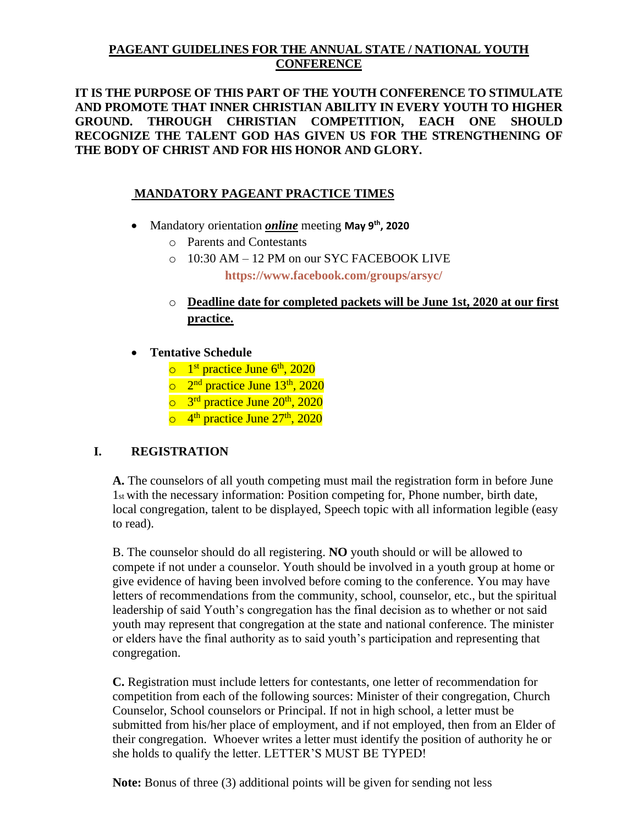## **PAGEANT GUIDELINES FOR THE ANNUAL STATE / NATIONAL YOUTH CONFERENCE**

**IT IS THE PURPOSE OF THIS PART OF THE YOUTH CONFERENCE TO STIMULATE AND PROMOTE THAT INNER CHRISTIAN ABILITY IN EVERY YOUTH TO HIGHER GROUND. THROUGH CHRISTIAN COMPETITION, EACH ONE SHOULD RECOGNIZE THE TALENT GOD HAS GIVEN US FOR THE STRENGTHENING OF THE BODY OF CHRIST AND FOR HIS HONOR AND GLORY.**

# **MANDATORY PAGEANT PRACTICE TIMES**

- Mandatory orientation *online* meeting **May 9 th , 2020**
	- o Parents and Contestants
	- o 10:30 AM 12 PM on our SYC FACEBOOK LIVE **<https://www.facebook.com/groups/arsyc/>**
	- o **Deadline date for completed packets will be June 1st, 2020 at our first practice.**
- **Tentative Schedule**
	- $\circ$  1<sup>st</sup> practice June 6<sup>th</sup>, 2020
	- o 2<sup>nd</sup> practice June 13<sup>th</sup>, 2020
	- o 3<sup>rd</sup> practice June 20<sup>th</sup>, 2020
	- o 4<sup>th</sup> practice June 27<sup>th</sup>, 2020

## **I. REGISTRATION**

**A.** The counselors of all youth competing must mail the registration form in before June 1st with the necessary information: Position competing for, Phone number, birth date, local congregation, talent to be displayed, Speech topic with all information legible (easy to read).

B. The counselor should do all registering. **NO** youth should or will be allowed to compete if not under a counselor. Youth should be involved in a youth group at home or give evidence of having been involved before coming to the conference. You may have letters of recommendations from the community, school, counselor, etc., but the spiritual leadership of said Youth's congregation has the final decision as to whether or not said youth may represent that congregation at the state and national conference. The minister or elders have the final authority as to said youth's participation and representing that congregation.

**C.** Registration must include letters for contestants, one letter of recommendation for competition from each of the following sources: Minister of their congregation, Church Counselor, School counselors or Principal. If not in high school, a letter must be submitted from his/her place of employment, and if not employed, then from an Elder of their congregation. Whoever writes a letter must identify the position of authority he or she holds to qualify the letter. LETTER'S MUST BE TYPED!

**Note:** Bonus of three (3) additional points will be given for sending not less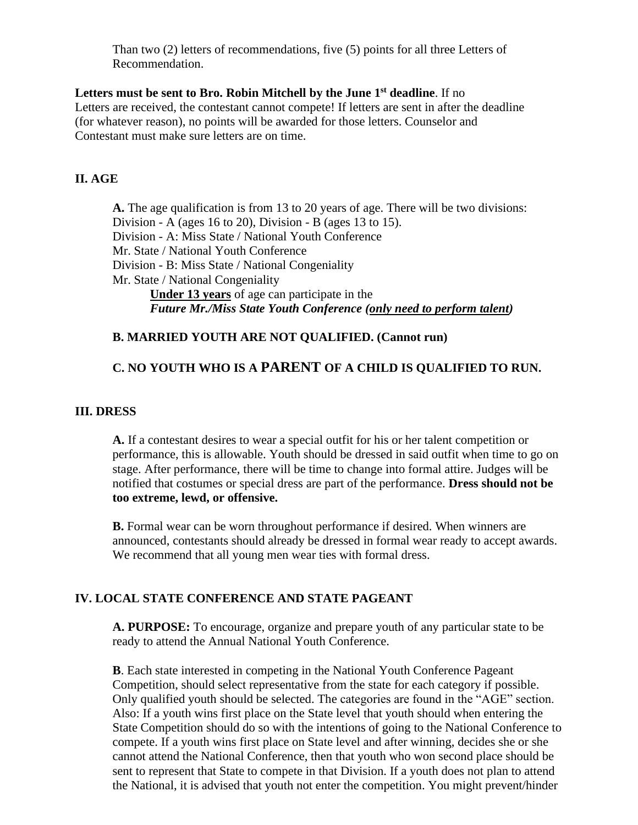Than two (2) letters of recommendations, five (5) points for all three Letters of Recommendation.

#### **Letters must be sent to Bro. Robin Mitchell by the June 1 st deadline**. If no

Letters are received, the contestant cannot compete! If letters are sent in after the deadline (for whatever reason), no points will be awarded for those letters. Counselor and Contestant must make sure letters are on time.

### **II. AGE**

**A.** The age qualification is from 13 to 20 years of age. There will be two divisions: Division - A (ages 16 to 20), Division - B (ages 13 to 15). Division - A: Miss State / National Youth Conference Mr. State / National Youth Conference Division - B: Miss State / National Congeniality Mr. State / National Congeniality **Under 13 years** of age can participate in the *Future Mr./Miss State Youth Conference (only need to perform talent)*

#### **B. MARRIED YOUTH ARE NOT QUALIFIED. (Cannot run)**

# **C. NO YOUTH WHO IS A PARENT OF A CHILD IS QUALIFIED TO RUN.**

#### **III. DRESS**

**A.** If a contestant desires to wear a special outfit for his or her talent competition or performance, this is allowable. Youth should be dressed in said outfit when time to go on stage. After performance, there will be time to change into formal attire. Judges will be notified that costumes or special dress are part of the performance. **Dress should not be too extreme, lewd, or offensive.**

**B.** Formal wear can be worn throughout performance if desired. When winners are announced, contestants should already be dressed in formal wear ready to accept awards. We recommend that all young men wear ties with formal dress.

## **IV. LOCAL STATE CONFERENCE AND STATE PAGEANT**

**A. PURPOSE:** To encourage, organize and prepare youth of any particular state to be ready to attend the Annual National Youth Conference.

**B**. Each state interested in competing in the National Youth Conference Pageant Competition, should select representative from the state for each category if possible. Only qualified youth should be selected. The categories are found in the "AGE" section. Also: If a youth wins first place on the State level that youth should when entering the State Competition should do so with the intentions of going to the National Conference to compete. If a youth wins first place on State level and after winning, decides she or she cannot attend the National Conference, then that youth who won second place should be sent to represent that State to compete in that Division. If a youth does not plan to attend the National, it is advised that youth not enter the competition. You might prevent/hinder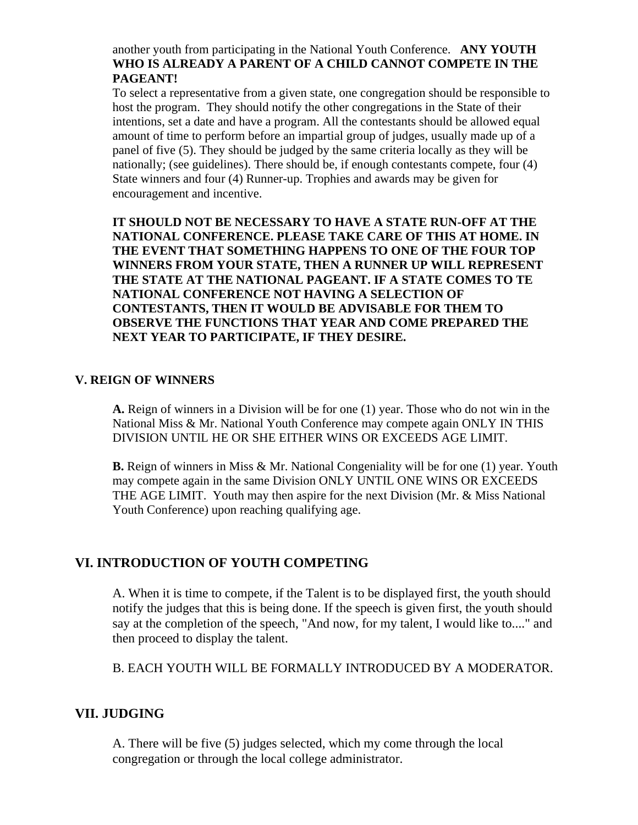another youth from participating in the National Youth Conference. **ANY YOUTH WHO IS ALREADY A PARENT OF A CHILD CANNOT COMPETE IN THE PAGEANT!**

To select a representative from a given state, one congregation should be responsible to host the program. They should notify the other congregations in the State of their intentions, set a date and have a program. All the contestants should be allowed equal amount of time to perform before an impartial group of judges, usually made up of a panel of five (5). They should be judged by the same criteria locally as they will be nationally; (see guidelines). There should be, if enough contestants compete, four (4) State winners and four (4) Runner-up. Trophies and awards may be given for encouragement and incentive.

**IT SHOULD NOT BE NECESSARY TO HAVE A STATE RUN-OFF AT THE NATIONAL CONFERENCE. PLEASE TAKE CARE OF THIS AT HOME. IN THE EVENT THAT SOMETHING HAPPENS TO ONE OF THE FOUR TOP WINNERS FROM YOUR STATE, THEN A RUNNER UP WILL REPRESENT THE STATE AT THE NATIONAL PAGEANT. IF A STATE COMES TO TE NATIONAL CONFERENCE NOT HAVING A SELECTION OF CONTESTANTS, THEN IT WOULD BE ADVISABLE FOR THEM TO OBSERVE THE FUNCTIONS THAT YEAR AND COME PREPARED THE NEXT YEAR TO PARTICIPATE, IF THEY DESIRE.**

#### **V. REIGN OF WINNERS**

**A.** Reign of winners in a Division will be for one (1) year. Those who do not win in the National Miss & Mr. National Youth Conference may compete again ONLY IN THIS DIVISION UNTIL HE OR SHE EITHER WINS OR EXCEEDS AGE LIMIT.

**B.** Reign of winners in Miss & Mr. National Congeniality will be for one (1) year. Youth may compete again in the same Division ONLY UNTIL ONE WINS OR EXCEEDS THE AGE LIMIT. Youth may then aspire for the next Division (Mr. & Miss National Youth Conference) upon reaching qualifying age.

#### **VI. INTRODUCTION OF YOUTH COMPETING**

A. When it is time to compete, if the Talent is to be displayed first, the youth should notify the judges that this is being done. If the speech is given first, the youth should say at the completion of the speech, "And now, for my talent, I would like to...." and then proceed to display the talent.

B. EACH YOUTH WILL BE FORMALLY INTRODUCED BY A MODERATOR.

#### **VII. JUDGING**

A. There will be five (5) judges selected, which my come through the local congregation or through the local college administrator.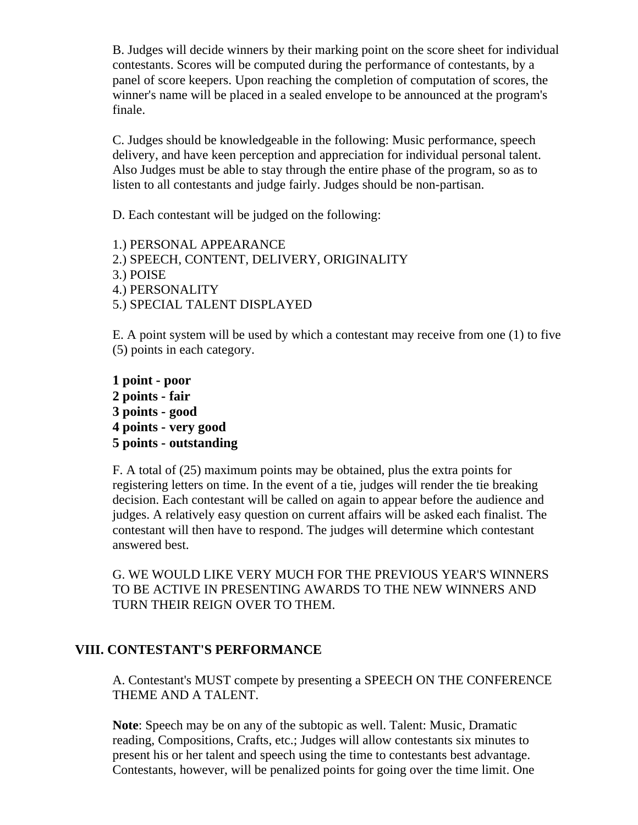B. Judges will decide winners by their marking point on the score sheet for individual contestants. Scores will be computed during the performance of contestants, by a panel of score keepers. Upon reaching the completion of computation of scores, the winner's name will be placed in a sealed envelope to be announced at the program's finale.

C. Judges should be knowledgeable in the following: Music performance, speech delivery, and have keen perception and appreciation for individual personal talent. Also Judges must be able to stay through the entire phase of the program, so as to listen to all contestants and judge fairly. Judges should be non-partisan.

D. Each contestant will be judged on the following:

1.) PERSONAL APPEARANCE 2.) SPEECH, CONTENT, DELIVERY, ORIGINALITY 3.) POISE 4.) PERSONALITY 5.) SPECIAL TALENT DISPLAYED

E. A point system will be used by which a contestant may receive from one (1) to five (5) points in each category.

**1 point - poor 2 points - fair 3 points - good 4 points - very good 5 points - outstanding**

F. A total of (25) maximum points may be obtained, plus the extra points for registering letters on time. In the event of a tie, judges will render the tie breaking decision. Each contestant will be called on again to appear before the audience and judges. A relatively easy question on current affairs will be asked each finalist. The contestant will then have to respond. The judges will determine which contestant answered best.

G. WE WOULD LIKE VERY MUCH FOR THE PREVIOUS YEAR'S WINNERS TO BE ACTIVE IN PRESENTING AWARDS TO THE NEW WINNERS AND TURN THEIR REIGN OVER TO THEM.

# **VIII. CONTESTANT'S PERFORMANCE**

A. Contestant's MUST compete by presenting a SPEECH ON THE CONFERENCE THEME AND A TALENT.

**Note**: Speech may be on any of the subtopic as well. Talent: Music, Dramatic reading, Compositions, Crafts, etc.; Judges will allow contestants six minutes to present his or her talent and speech using the time to contestants best advantage. Contestants, however, will be penalized points for going over the time limit. One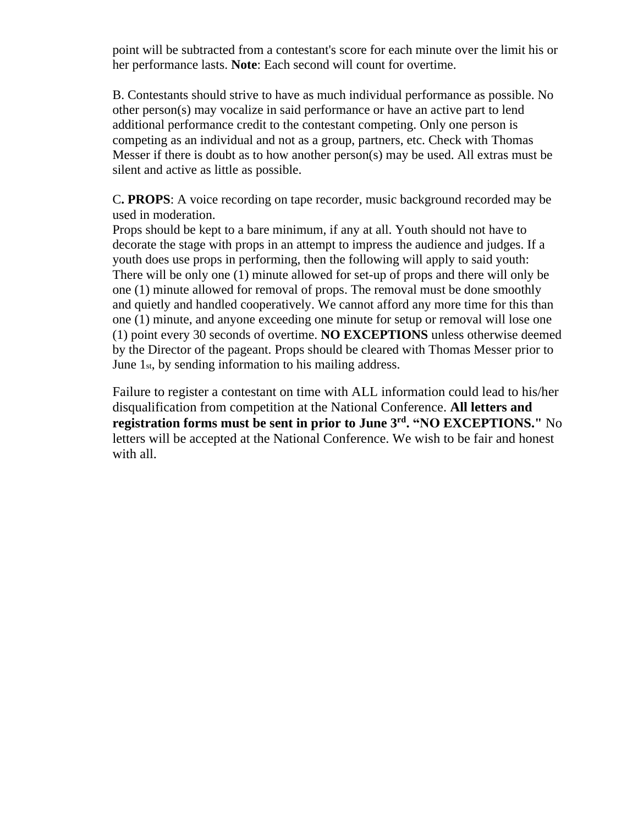point will be subtracted from a contestant's score for each minute over the limit his or her performance lasts. **Note**: Each second will count for overtime.

B. Contestants should strive to have as much individual performance as possible. No other person(s) may vocalize in said performance or have an active part to lend additional performance credit to the contestant competing. Only one person is competing as an individual and not as a group, partners, etc. Check with Thomas Messer if there is doubt as to how another person(s) may be used. All extras must be silent and active as little as possible.

C**. PROPS**: A voice recording on tape recorder, music background recorded may be used in moderation.

Props should be kept to a bare minimum, if any at all. Youth should not have to decorate the stage with props in an attempt to impress the audience and judges. If a youth does use props in performing, then the following will apply to said youth: There will be only one (1) minute allowed for set-up of props and there will only be one (1) minute allowed for removal of props. The removal must be done smoothly and quietly and handled cooperatively. We cannot afford any more time for this than one (1) minute, and anyone exceeding one minute for setup or removal will lose one (1) point every 30 seconds of overtime. **NO EXCEPTIONS** unless otherwise deemed by the Director of the pageant. Props should be cleared with Thomas Messer prior to June 1st, by sending information to his mailing address.

Failure to register a contestant on time with ALL information could lead to his/her disqualification from competition at the National Conference. **All letters and registration forms must be sent in prior to June 3<sup>rd</sup>. "NO EXCEPTIONS." No** letters will be accepted at the National Conference. We wish to be fair and honest with all.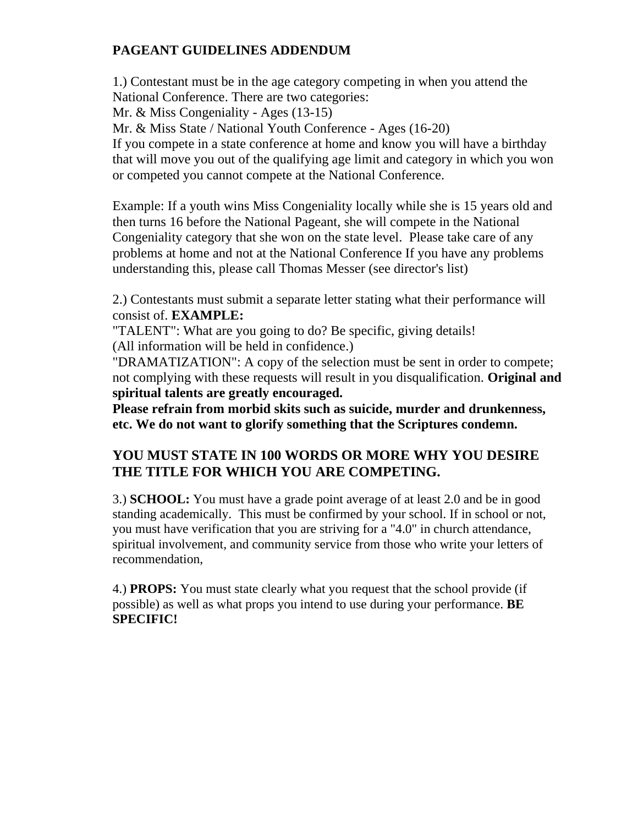# **PAGEANT GUIDELINES ADDENDUM**

1.) Contestant must be in the age category competing in when you attend the National Conference. There are two categories: Mr. & Miss Congeniality - Ages (13-15) Mr. & Miss State / National Youth Conference - Ages (16-20) If you compete in a state conference at home and know you will have a birthday that will move you out of the qualifying age limit and category in which you won or competed you cannot compete at the National Conference.

Example: If a youth wins Miss Congeniality locally while she is 15 years old and then turns 16 before the National Pageant, she will compete in the National Congeniality category that she won on the state level. Please take care of any problems at home and not at the National Conference If you have any problems understanding this, please call Thomas Messer (see director's list)

2.) Contestants must submit a separate letter stating what their performance will consist of. **EXAMPLE:**

"TALENT": What are you going to do? Be specific, giving details! (All information will be held in confidence.)

"DRAMATIZATION": A copy of the selection must be sent in order to compete; not complying with these requests will result in you disqualification. **Original and spiritual talents are greatly encouraged.**

**Please refrain from morbid skits such as suicide, murder and drunkenness, etc. We do not want to glorify something that the Scriptures condemn.**

# **YOU MUST STATE IN 100 WORDS OR MORE WHY YOU DESIRE THE TITLE FOR WHICH YOU ARE COMPETING.**

3.) **SCHOOL:** You must have a grade point average of at least 2.0 and be in good standing academically. This must be confirmed by your school. If in school or not, you must have verification that you are striving for a "4.0" in church attendance, spiritual involvement, and community service from those who write your letters of recommendation,

4.) **PROPS:** You must state clearly what you request that the school provide (if possible) as well as what props you intend to use during your performance. **BE SPECIFIC!**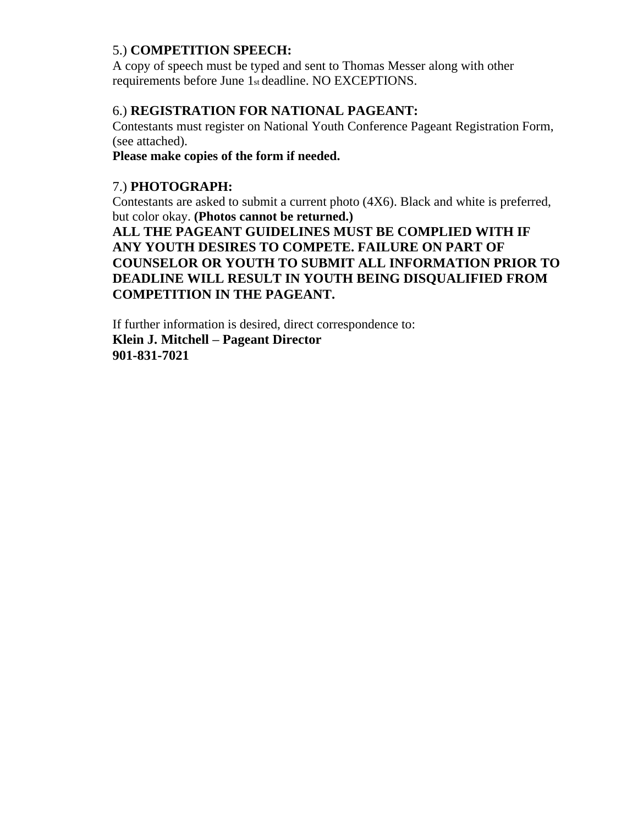# 5.) **COMPETITION SPEECH:**

A copy of speech must be typed and sent to Thomas Messer along with other requirements before June 1st deadline. NO EXCEPTIONS.

# 6.) **REGISTRATION FOR NATIONAL PAGEANT:**

Contestants must register on National Youth Conference Pageant Registration Form, (see attached).

**Please make copies of the form if needed.**

# 7.) **PHOTOGRAPH:**

Contestants are asked to submit a current photo (4X6). Black and white is preferred, but color okay. **(Photos cannot be returned.)**

**ALL THE PAGEANT GUIDELINES MUST BE COMPLIED WITH IF ANY YOUTH DESIRES TO COMPETE. FAILURE ON PART OF COUNSELOR OR YOUTH TO SUBMIT ALL INFORMATION PRIOR TO DEADLINE WILL RESULT IN YOUTH BEING DISQUALIFIED FROM COMPETITION IN THE PAGEANT.**

If further information is desired, direct correspondence to: **Klein J. Mitchell – Pageant Director 901-831-7021**